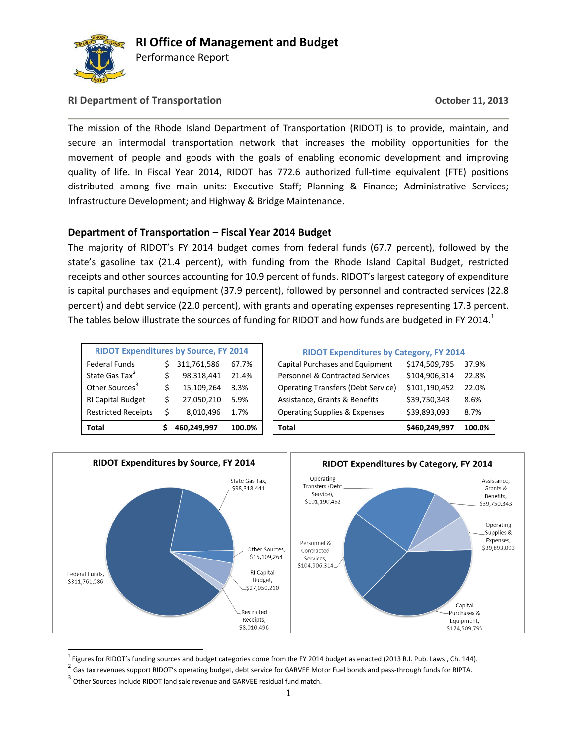

Performance Report

### **RI Department of Transportation October 11, 2013**

The mission of the Rhode Island Department of Transportation (RIDOT) is to provide, maintain, and secure an intermodal transportation network that increases the mobility opportunities for the movement of people and goods with the goals of enabling economic development and improving quality of life. In Fiscal Year 2014, RIDOT has 772.6 authorized full-time equivalent (FTE) positions distributed among five main units: Executive Staff; Planning & Finance; Administrative Services; Infrastructure Development; and Highway & Bridge Maintenance.

### **Department of Transportation – Fiscal Year 2014 Budget**

The majority of RIDOT's FY 2014 budget comes from federal funds (67.7 percent), followed by the state's gasoline tax (21.4 percent), with funding from the Rhode Island Capital Budget, restricted receipts and other sources accounting for 10.9 percent of funds. RIDOT's largest category of expenditure is capital purchases and equipment (37.9 percent), followed by personnel and contracted services (22.8 percent) and debt service (22.0 percent), with grants and operating expenses representing 17.3 percent. The tables below illustrate the sources of funding for RIDOT and how funds are budgeted in FY 2014.<sup>1</sup>

| <b>RIDOT Expenditures by Source, FY 2014</b> |   |             |        |  |  |  |  |  |  |
|----------------------------------------------|---|-------------|--------|--|--|--|--|--|--|
| <b>Federal Funds</b>                         |   | 311,761,586 | 67.7%  |  |  |  |  |  |  |
| State Gas Tax <sup>2</sup>                   | Ś | 98,318,441  | 21.4%  |  |  |  |  |  |  |
| Other Sources <sup>3</sup>                   | Ś | 15,109,264  | 3.3%   |  |  |  |  |  |  |
| <b>RI Capital Budget</b>                     | Ś | 27,050,210  | 5.9%   |  |  |  |  |  |  |
| <b>Restricted Receipts</b>                   | Ś | 8,010,496   | 1.7%   |  |  |  |  |  |  |
| Total                                        |   | 460,249,997 | 100.0% |  |  |  |  |  |  |

| <b>RIDOT Expenditures by Source, FY 2014</b> |  |             | <b>RIDOT Expenditures by Category, FY 2014</b> |                                           |               |        |
|----------------------------------------------|--|-------------|------------------------------------------------|-------------------------------------------|---------------|--------|
| Federal Funds                                |  | 311,761,586 | 67.7%                                          | Capital Purchases and Equipment           | \$174,509,795 | 37.9%  |
| State Gas Tax <sup>2</sup>                   |  | 98,318,441  | 21.4%                                          | Personnel & Contracted Services           | \$104.906.314 | 22.8%  |
| Other Sources <sup>3</sup>                   |  | 15,109,264  | 3.3%                                           | <b>Operating Transfers (Debt Service)</b> | \$101,190,452 | 22.0%  |
| RI Capital Budget                            |  | 27,050,210  | 5.9%                                           | Assistance, Grants & Benefits             | \$39,750,343  | 8.6%   |
| <b>Restricted Receipts</b>                   |  | 8,010,496   | 1.7%                                           | <b>Operating Supplies &amp; Expenses</b>  | \$39,893,093  | 8.7%   |
| Total                                        |  | 460,249,997 | 100.0%                                         | <b>Total</b>                              | \$460,249,997 | 100.0% |



<sup>1</sup> Figures for RIDOT's funding sources and budget categories come from the FY 2014 budget as enacted (2013 R.I. Pub. Laws , Ch. 144).

<sup>&</sup>lt;sup>2</sup> Gas tax revenues support RIDOT's operating budget, debt service for GARVEE Motor Fuel bonds and pass-through funds for RIPTA.

 $3$  Other Sources include RIDOT land sale revenue and GARVEE residual fund match.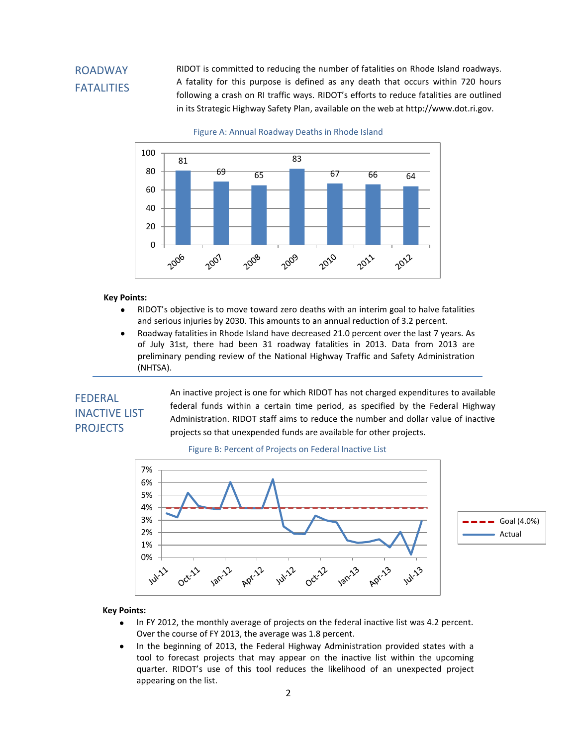## ROADWAY **FATALITIES**

RIDOT is committed to reducing the number of fatalities on Rhode Island roadways. A fatality for this purpose is defined as any death that occurs within 720 hours following a crash on RI traffic ways. RIDOT's efforts to reduce fatalities are outlined in its Strategic Highway Safety Plan, available on the web at http://www.dot.ri.gov.

Figure A: Annual Roadway Deaths in Rhode Island



#### **Key Points:**

- RIDOT's objective is to move toward zero deaths with an interim goal to halve fatalities and serious injuries by 2030. This amounts to an annual reduction of 3.2 percent.
- Roadway fatalities in Rhode Island have decreased 21.0 percent over the last 7 years. As of July 31st, there had been 31 roadway fatalities in 2013. Data from 2013 are preliminary pending review of the National Highway Traffic and Safety Administration (NHTSA).

## FEDERAL INACTIVE LIST **PROJECTS**

An inactive project is one for which RIDOT has not charged expenditures to available federal funds within a certain time period, as specified by the Federal Highway Administration. RIDOT staff aims to reduce the number and dollar value of inactive projects so that unexpended funds are available for other projects.





#### **Key Points:**

- In FY 2012, the monthly average of projects on the federal inactive list was 4.2 percent.  $\bullet$ Over the course of FY 2013, the average was 1.8 percent.
- $\bullet$ In the beginning of 2013, the Federal Highway Administration provided states with a tool to forecast projects that may appear on the inactive list within the upcoming quarter. RIDOT's use of this tool reduces the likelihood of an unexpected project appearing on the list.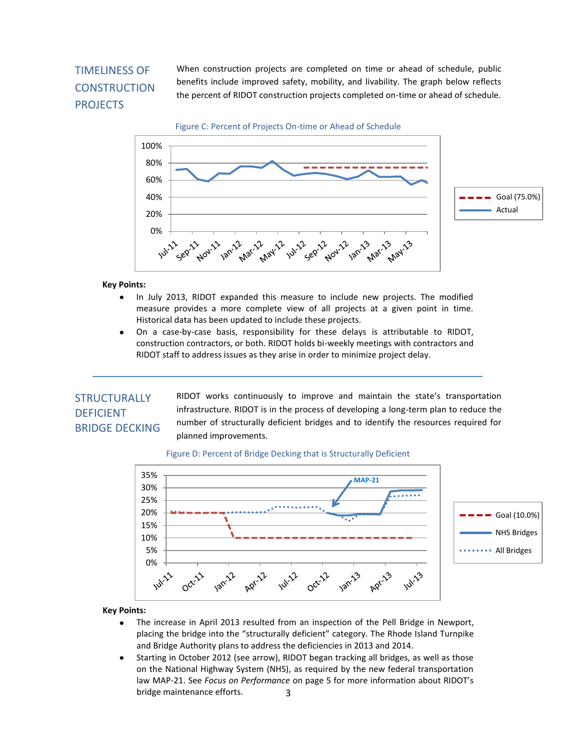# TIMELINESS OF **CONSTRUCTION** PROJECTS

When construction projects are completed on time or ahead of schedule, public benefits include improved safety, mobility, and livability. The graph below reflects the percent of RIDOT construction projects completed on-time or ahead of schedule.

Figure C: Percent of Projects On-time or Ahead of Schedule



#### **Key Points:**

- In July 2013, RIDOT expanded this measure to include new projects. The modified measure provides a more complete view of all projects at a given point in time. Historical data has been updated to include these projects.
- On a case-by-case basis, responsibility for these delays is attributable to RIDOT,  $\bullet$ construction contractors, or both. RIDOT holds bi-weekly meetings with contractors and RIDOT staff to address issues as they arise in order to minimize project delay.

### **STRUCTURALLY** DEFICIENT BRIDGE DECKING

RIDOT works continuously to improve and maintain the state's transportation infrastructure. RIDOT is in the process of developing a long-term plan to reduce the number of structurally deficient bridges and to identify the resources required for planned improvements.

#### Figure D: Percent of Bridge Decking that is Structurally Deficient



#### **Key Points:**

- The increase in April 2013 resulted from an inspection of the Pell Bridge in Newport, placing the bridge into the "structurally deficient" category. The Rhode Island Turnpike and Bridge Authority plans to address the deficiencies in 2013 and 2014.
- Starting in October 2012 (see arrow), RIDOT began tracking all bridges, as well as those  $\bullet$ on the National Highway System (NHS), as required by the new federal transportation law MAP-21. See *Focus on Performance* on page 5 for more information about RIDOT's bridge maintenance efforts. 3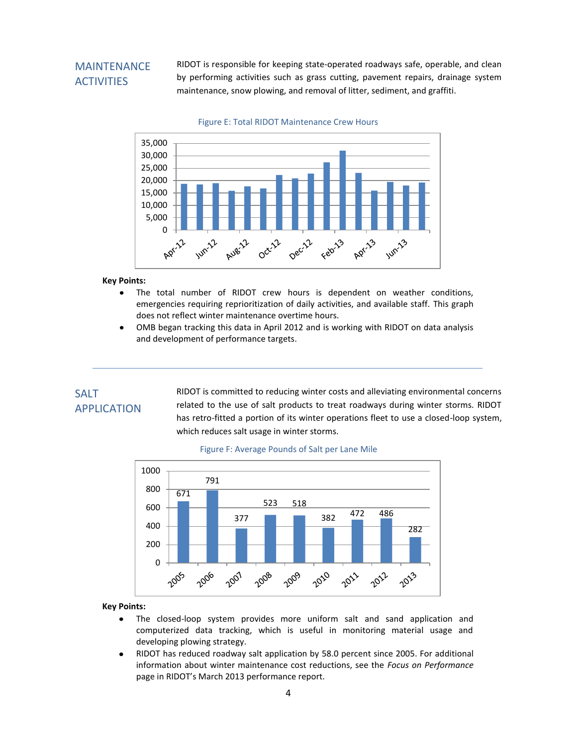### MAINTENANCE **ACTIVITIES**

RIDOT is responsible for keeping state-operated roadways safe, operable, and clean by performing activities such as grass cutting, pavement repairs, drainage system maintenance, snow plowing, and removal of litter, sediment, and graffiti.



Figure E: Total RIDOT Maintenance Crew Hours

#### **Key Points:**

- The total number of RIDOT crew hours is dependent on weather conditions,  $\bullet$ emergencies requiring reprioritization of daily activities, and available staff. This graph does not reflect winter maintenance overtime hours.
- OMB began tracking this data in April 2012 and is working with RIDOT on data analysis  $\bullet$ and development of performance targets.

## SALT APPLICATION

RIDOT is committed to reducing winter costs and alleviating environmental concerns related to the use of salt products to treat roadways during winter storms. RIDOT has retro-fitted a portion of its winter operations fleet to use a closed-loop system, which reduces salt usage in winter storms.



#### Figure F: Average Pounds of Salt per Lane Mile

#### **Key Points:**

- The closed-loop system provides more uniform salt and sand application and  $\bullet$ computerized data tracking, which is useful in monitoring material usage and developing plowing strategy.
- RIDOT has reduced roadway salt application by 58.0 percent since 2005. For additional  $\bullet$ information about winter maintenance cost reductions, see the *Focus on Performance* page in RIDOT's March 2013 performance report.